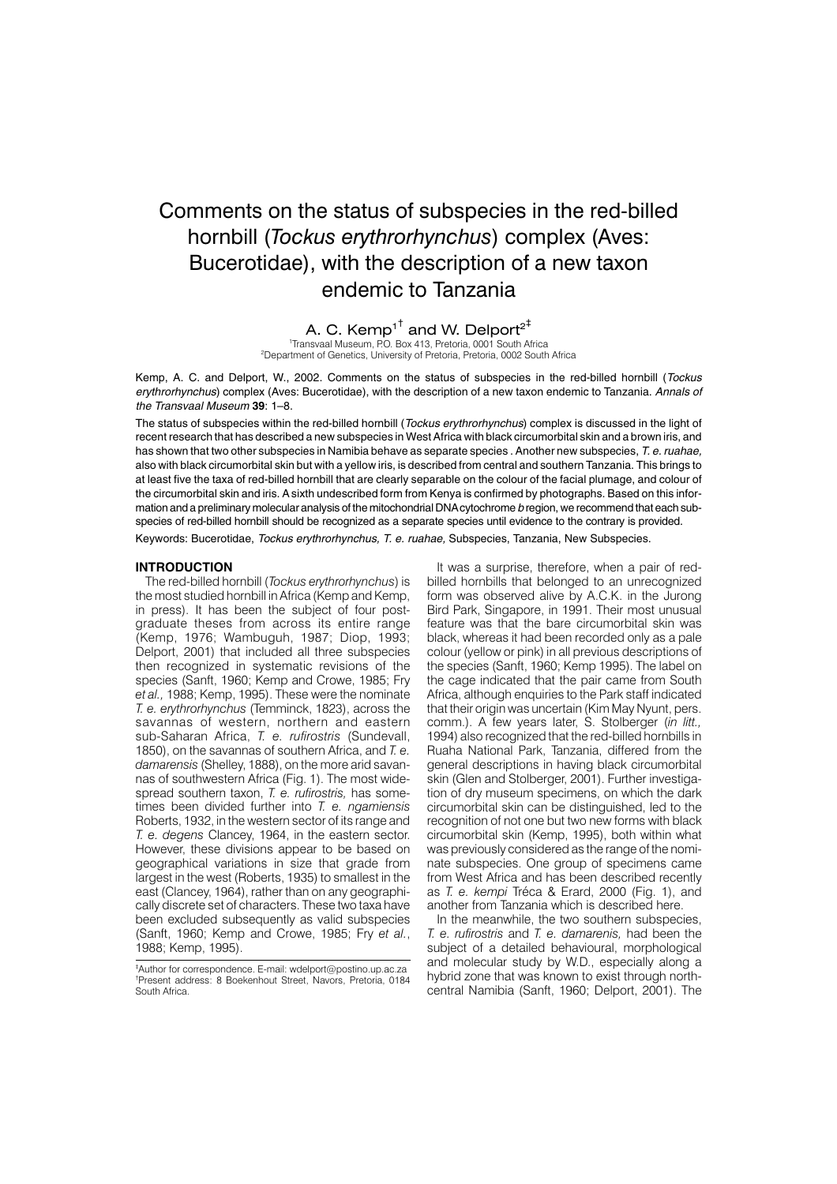# Comments on the status of subspecies in the red-billed hornbill (*Tockus erythrorhynchus*) complex (Aves: Bucerotidae), with the description of a new taxon endemic to Tanzania

**A. C. Kemp<sup>1†</sup> and W. Delport<sup>2‡</sup><br>'Transvaal Museum, P.O. Box 413, Pretoria, 0001 South Africa** 

2 Department of Genetics, University of Pretoria, Pretoria, 0002 South Africa

Kemp, A. C. and Delport, W., 2002. Comments on the status of subspecies in the red-billed hornbill (Tockus erythrorhynchus) complex (Aves: Bucerotidae), with the description of a new taxon endemic to Tanzania. Annals of the Transvaal Museum **39**: 1–8.

The status of subspecies within the red-billed hornbill (Tockus erythrorhynchus) complex is discussed in the light of recent research that has described a new subspecies in West Africa with black circumorbital skin and a brown iris, and has shown that two other subspecies in Namibia behave as separate species . Another new subspecies, T. e. ruahae, also with black circumorbital skin but with a yellow iris, is described from central and southern Tanzania. This brings to at least five the taxa of red-billed hornbill that are clearly separable on the colour of the facial plumage, and colour of the circumorbital skin and iris. A sixth undescribed form from Kenya is confirmed by photographs. Based on this information and a preliminary molecular analysis of the mitochondrial DNA cytochrome b region, we recommend that each subspecies of red-billed hornbill should be recognized as a separate species until evidence to the contrary is provided.

Keywords: Bucerotidae, Tockus erythrorhynchus, T. e. ruahae, Subspecies, Tanzania, New Subspecies.

### **INTRODUCTION**

The red-billed hornbill (*Tockus erythrorhynchus*) is the most studied hornbill in Africa (Kemp and Kemp, in press). It has been the subject of four postgraduate theses from across its entire range (Kemp, 1976; Wambuguh, 1987; Diop, 1993; Delport, 2001) that included all three subspecies then recognized in systematic revisions of the species (Sanft, 1960; Kemp and Crowe, 1985; Fry *et al.,* 1988; Kemp, 1995). These were the nominate *T. e. erythrorhynchus* (Temminck, 1823), across the savannas of western, northern and eastern sub-Saharan Africa, *T. e. rufirostris* (Sundevall, 1850), on the savannas of southern Africa, and *T. e. damarensis* (Shelley, 1888), on the more arid savannas of southwestern Africa (Fig. 1). The most widespread southern taxon, *T. e. rufirostris,* has sometimes been divided further into *T. e. ngamiensis* Roberts, 1932, in the western sector of its range and *T. e. degens* Clancey, 1964, in the eastern sector. However, these divisions appear to be based on geographical variations in size that grade from largest in the west (Roberts, 1935) to smallest in the east (Clancey, 1964), rather than on any geographically discrete set of characters. These two taxa have been excluded subsequently as valid subspecies (Sanft, 1960; Kemp and Crowe, 1985; Fry *et al.*, 1988; Kemp, 1995).

It was a surprise, therefore, when a pair of redbilled hornbills that belonged to an unrecognized form was observed alive by A.C.K. in the Jurong Bird Park, Singapore, in 1991. Their most unusual feature was that the bare circumorbital skin was black, whereas it had been recorded only as a pale colour (yellow or pink) in all previous descriptions of the species (Sanft, 1960; Kemp 1995). The label on the cage indicated that the pair came from South Africa, although enquiries to the Park staff indicated that their origin was uncertain (Kim May Nyunt, pers. comm.). A few years later, S. Stolberger (*in litt.,* 1994) also recognized that the red-billed hornbills in Ruaha National Park, Tanzania, differed from the general descriptions in having black circumorbital skin (Glen and Stolberger, 2001). Further investigation of dry museum specimens, on which the dark circumorbital skin can be distinguished, led to the recognition of not one but two new forms with black circumorbital skin (Kemp, 1995), both within what was previously considered as the range of the nominate subspecies. One group of specimens came from West Africa and has been described recently as *T. e. kempi* Tréca & Erard, 2000 (Fig. 1), and another from Tanzania which is described here.

In the meanwhile, the two southern subspecies, *T. e. rufirostris* and *T. e. damarenis,* had been the subject of a detailed behavioural, morphological and molecular study by W.D., especially along a hybrid zone that was known to exist through northcentral Namibia (Sanft, 1960; Delport, 2001). The

<sup>‡</sup> Author for correspondence. E-mail: wdelport@postino.up.ac.za † Present address: 8 Boekenhout Street, Navors, Pretoria, 0184 South Africa.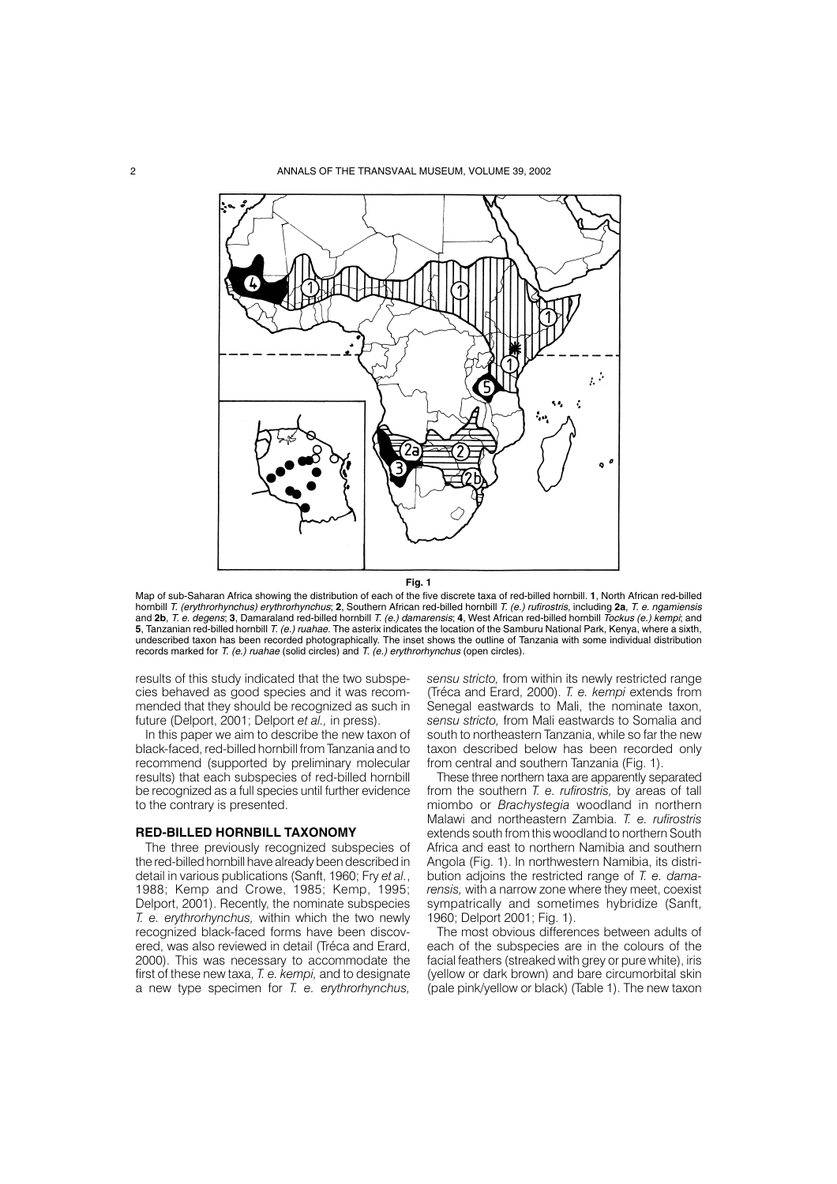

**Fig. 1**

Map of sub-Saharan Africa showing the distribution of each of the five discrete taxa of red-billed hornbill. **1**, North African red-billed hornbill T. (erythrorhynchus) erythrorhynchus; **2**, Southern African red-billed hornbill T. (e.) rufirostris, including **2a**, T. e. ngamiensis and **2b**, T. e. degens; **3**, Damaraland red-billed hornbill T. (e.) damarensis; **4**, West African red-billed hornbill Tockus (e.) kempi; and **5**, Tanzanian red-billed hornbill T. (e.) ruahae. The asterix indicates the location of the Samburu National Park, Kenya, where a sixth, undescribed taxon has been recorded photographically. The inset shows the outline of Tanzania with some individual distribution records marked for T. (e.) ruahae (solid circles) and T. (e.) erythrorhynchus (open circles).

results of this study indicated that the two subspecies behaved as good species and it was recommended that they should be recognized as such in future (Delport, 2001; Delport *et al.,* in press).

In this paper we aim to describe the new taxon of black-faced, red-billed hornbill from Tanzania and to recommend (supported by preliminary molecular results) that each subspecies of red-billed hornbill be recognized as a full species until further evidence to the contrary is presented.

### **RED-BILLED HORNBILL TAXONOMY**

The three previously recognized subspecies of the red-billed hornbill have already been described in detail in various publications (Sanft, 1960; Fry *et al.*, 1988; Kemp and Crowe, 1985; Kemp, 1995; Delport, 2001). Recently, the nominate subspecies *T. e. erythrorhynchus,* within which the two newly recognized black-faced forms have been discovered, was also reviewed in detail (Tréca and Erard, 2000). This was necessary to accommodate the first of these new taxa, *T. e. kempi,* and to designate a new type specimen for *T. e. erythrorhynchus,*

*sensu stricto,* from within its newly restricted range (Tréca and Erard, 2000). *T. e. kempi* extends from Senegal eastwards to Mali, the nominate taxon, *sensu stricto,* from Mali eastwards to Somalia and south to northeastern Tanzania, while so far the new taxon described below has been recorded only from central and southern Tanzania (Fig. 1).

These three northern taxa are apparently separated from the southern *T. e. rufirostris,* by areas of tall miombo or *Brachystegia* woodland in northern Malawi and northeastern Zambia. *T. e. rufirostris* extends south from this woodland to northern South Africa and east to northern Namibia and southern Angola (Fig. 1). In northwestern Namibia, its distribution adjoins the restricted range of *T. e. damarensis,* with a narrow zone where they meet, coexist sympatrically and sometimes hybridize (Sanft, 1960; Delport 2001; Fig. 1).

The most obvious differences between adults of each of the subspecies are in the colours of the facial feathers (streaked with grey or pure white), iris (yellow or dark brown) and bare circumorbital skin (pale pink/yellow or black) (Table 1). The new taxon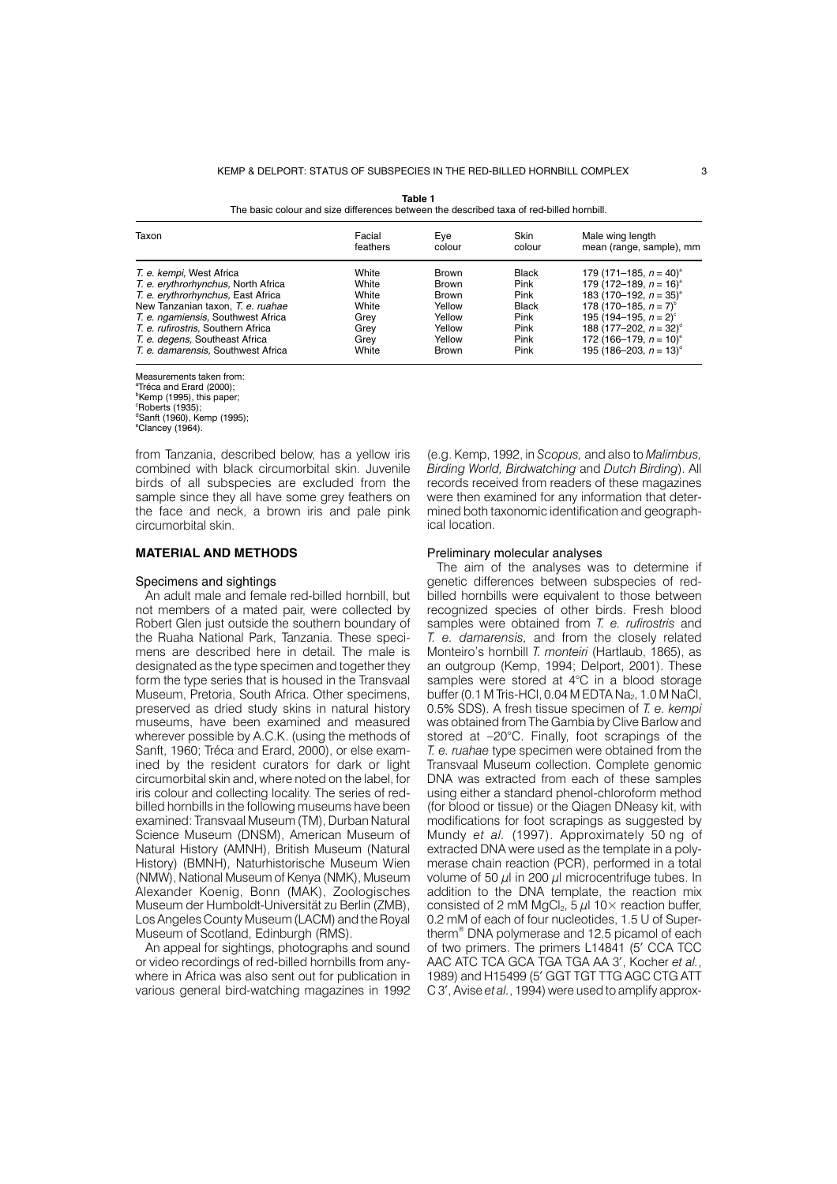| THE DASIC COIOUT AIN SIZE UNTERFICES DEIWEEH THE UESCHDEU 18X4 OF FEU-DIJIEU HOFHDIJI. |                    |               |                |                                              |  |  |  |
|----------------------------------------------------------------------------------------|--------------------|---------------|----------------|----------------------------------------------|--|--|--|
| Taxon                                                                                  | Facial<br>feathers | Eve<br>colour | Skin<br>colour | Male wing length<br>mean (range, sample), mm |  |  |  |
| T. e. kempi, West Africa                                                               | White              | <b>Brown</b>  | <b>Black</b>   | 179 (171–185, $n = 40$ ) <sup>a</sup>        |  |  |  |
| T. e. erythrorhynchus, North Africa                                                    | White              | <b>Brown</b>  | Pink           | 179 (172–189, $n = 16$ ) <sup>a</sup>        |  |  |  |
| T. e. erythrorhynchus, East Africa                                                     | White              | <b>Brown</b>  | Pink           | 183 (170–192, $n = 35$ ) <sup>a</sup>        |  |  |  |
| New Tanzanian taxon, T. e. ruahae                                                      | White              | Yellow        | <b>Black</b>   | 178 (170–185, $n = 7$ ) <sup>b</sup>         |  |  |  |
| T. e. ngamiensis, Southwest Africa                                                     | Grev               | Yellow        | Pink           | 195 (194–195, $n = 2$ ) <sup>c</sup>         |  |  |  |
| T. e. rufirostris, Southern Africa                                                     | Grev               | Yellow        | Pink           | 188 (177–202, $n = 32$ ) <sup>d</sup>        |  |  |  |
| T. e. degens, Southeast Africa                                                         | Grev               | Yellow        | Pink           | 172 (166–179, $n = 10$ ) <sup>e</sup>        |  |  |  |
| T. e. damarensis, Southwest Africa                                                     | White              | <b>Brown</b>  | Pink           | 195 (186–203, $n = 13$ ) <sup>d</sup>        |  |  |  |

**Table 1**<br>The basic colour and size differences between the described taxa of red-billed hornbill.

Measurements taken from: <sup>a</sup>Tréca and Erard (2000); <sup>b</sup>Kemp (1995), this paper;<br>°Roberts (1935); d Sanft (1960), Kemp (1995); e Clancey (1964).

from Tanzania, described below, has a yellow iris combined with black circumorbital skin. Juvenile birds of all subspecies are excluded from the sample since they all have some grey feathers on the face and neck, a brown iris and pale pink circumorbital skin.

### **MATERIAL AND METHODS**

### Specimens and sightings

An adult male and female red-billed hornbill, but not members of a mated pair, were collected by Robert Glen just outside the southern boundary of the Ruaha National Park, Tanzania. These specimens are described here in detail. The male is designated as the type specimen and together they form the type series that is housed in the Transvaal Museum, Pretoria, South Africa. Other specimens, preserved as dried study skins in natural history museums, have been examined and measured wherever possible by A.C.K. (using the methods of Sanft, 1960; Tréca and Erard, 2000), or else examined by the resident curators for dark or light circumorbital skin and, where noted on the label, for iris colour and collecting locality. The series of redbilled hornbills in the following museums have been examined: Transvaal Museum (TM), Durban Natural Science Museum (DNSM), American Museum of Natural History (AMNH), British Museum (Natural History) (BMNH), Naturhistorische Museum Wien (NMW), National Museum of Kenya (NMK), Museum Alexander Koenig, Bonn (MAK), Zoologisches Museum der Humboldt-Universität zu Berlin (ZMB), Los Angeles County Museum (LACM) and the Royal Museum of Scotland, Edinburgh (RMS).

An appeal for sightings, photographs and sound or video recordings of red-billed hornbills from anywhere in Africa was also sent out for publication in various general bird-watching magazines in 1992

(e.g. Kemp, 1992, in *Scopus,* and also to *Malimbus, Birding World, Birdwatching* and *Dutch Birding*). All records received from readers of these magazines were then examined for any information that determined both taxonomic identification and geographical location.

### Preliminary molecular analyses

The aim of the analyses was to determine if genetic differences between subspecies of redbilled hornbills were equivalent to those between recognized species of other birds. Fresh blood samples were obtained from *T. e. rufirostris* and *T. e. damarensis,* and from the closely related Monteiro's hornbill *T. monteiri* (Hartlaub, 1865), as an outgroup (Kemp, 1994; Delport, 2001). These samples were stored at 4°C in a blood storage buffer (0.1 M Tris-HCl, 0.04 M EDTA Na<sub>2</sub>, 1.0 M NaCl, 0.5% SDS). A fresh tissue specimen of *T. e. kempi* was obtained from The Gambia by Clive Barlow and stored at –20°C. Finally, foot scrapings of the *T. e. ruahae* type specimen were obtained from the Transvaal Museum collection. Complete genomic DNA was extracted from each of these samples using either a standard phenol-chloroform method (for blood or tissue) or the Qiagen DNeasy kit, with modifications for foot scrapings as suggested by Mundy *et al.* (1997). Approximately 50 ng of extracted DNA were used as the template in a polymerase chain reaction (PCR), performed in a total volume of 50  $\mu$ l in 200  $\mu$ l microcentrifuge tubes. In addition to the DNA template, the reaction mix consisted of 2 mM MgCl<sub>2</sub>,  $5 \mu$ l 10× reaction buffer, 0.2 mM of each of four nucleotides, 1.5 U of Supertherm® DNA polymerase and 12.5 picamol of each of two primers. The primers L14841 (5' CCA TCC AAC ATC TCA GCA TGA TGA AA 3', Kocher *et al.*, 1989) and H15499 (5' GGT TGT TTG AGC CTG ATT C 3', Avise *et al.*, 1994) were used to amplify approx-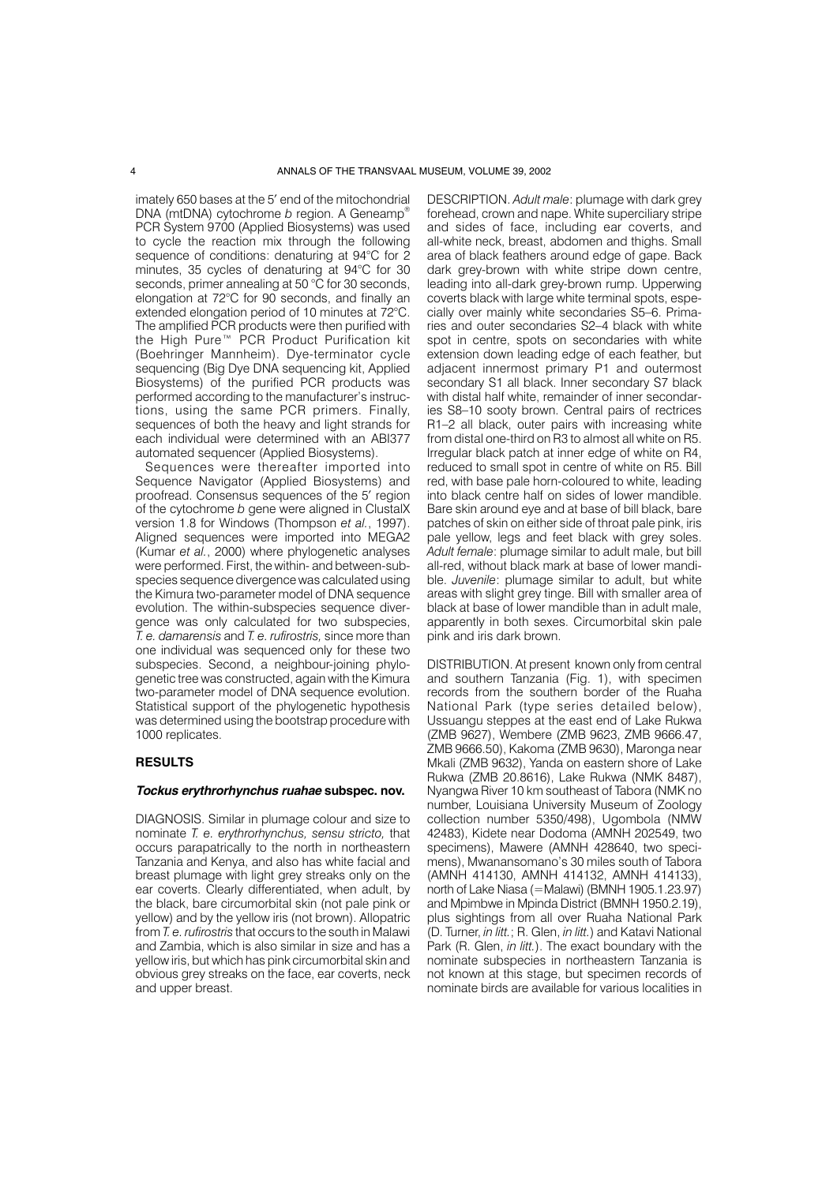imately 650 bases at the 5' end of the mitochondrial DNA (mtDNA) cytochrome *b* region. A Geneamp® PCR System 9700 (Applied Biosystems) was used to cycle the reaction mix through the following sequence of conditions: denaturing at 94°C for 2 minutes, 35 cycles of denaturing at 94°C for 30 seconds, primer annealing at 50 °C for 30 seconds, elongation at 72°C for 90 seconds, and finally an extended elongation period of 10 minutes at 72°C. The amplified PCR products were then purified with the High Pure™ PCR Product Purification kit (Boehringer Mannheim). Dye-terminator cycle sequencing (Big Dye DNA sequencing kit, Applied Biosystems) of the purified PCR products was performed according to the manufacturer's instructions, using the same PCR primers. Finally, sequences of both the heavy and light strands for each individual were determined with an ABI377 automated sequencer (Applied Biosystems).

Sequences were thereafter imported into Sequence Navigator (Applied Biosystems) and proofread. Consensus sequences of the 5' region of the cytochrome *b* gene were aligned in ClustalX version 1.8 for Windows (Thompson *et al.*, 1997). Aligned sequences were imported into MEGA2 (Kumar *et al.*, 2000) where phylogenetic analyses were performed. First, the within- and between-subspecies sequence divergence was calculated using the Kimura two-parameter model of DNA sequence evolution. The within-subspecies sequence divergence was only calculated for two subspecies, *T. e. damarensis* and *T. e. rufirostris,* since more than one individual was sequenced only for these two subspecies. Second, a neighbour-joining phylogenetic tree was constructed, again with the Kimura two-parameter model of DNA sequence evolution. Statistical support of the phylogenetic hypothesis was determined using the bootstrap procedure with 1000 replicates.

### **RESULTS**

## **Tockus erythrorhynchus ruahae subspec. nov.**

DIAGNOSIS. Similar in plumage colour and size to nominate *T. e. erythrorhynchus, sensu stricto,* that occurs parapatrically to the north in northeastern Tanzania and Kenya, and also has white facial and breast plumage with light grey streaks only on the ear coverts. Clearly differentiated, when adult, by the black, bare circumorbital skin (not pale pink or yellow) and by the yellow iris (not brown). Allopatric from *T. e. rufirostris* that occurs to the south in Malawi and Zambia, which is also similar in size and has a yellow iris, but which has pink circumorbital skin and obvious grey streaks on the face, ear coverts, neck and upper breast.

DESCRIPTION. *Adult male*: plumage with dark grey forehead, crown and nape. White superciliary stripe and sides of face, including ear coverts, and all-white neck, breast, abdomen and thighs. Small area of black feathers around edge of gape. Back dark grey-brown with white stripe down centre, leading into all-dark grey-brown rump. Upperwing coverts black with large white terminal spots, especially over mainly white secondaries S5–6. Primaries and outer secondaries S2–4 black with white spot in centre, spots on secondaries with white extension down leading edge of each feather, but adjacent innermost primary P1 and outermost secondary S1 all black. Inner secondary S7 black with distal half white, remainder of inner secondaries S8–10 sooty brown. Central pairs of rectrices R1–2 all black, outer pairs with increasing white from distal one-third on R3 to almost all white on R5. Irregular black patch at inner edge of white on R4, reduced to small spot in centre of white on R5. Bill red, with base pale horn-coloured to white, leading into black centre half on sides of lower mandible. Bare skin around eye and at base of bill black, bare patches of skin on either side of throat pale pink, iris pale yellow, legs and feet black with grey soles. *Adult female*: plumage similar to adult male, but bill all-red, without black mark at base of lower mandible. *Juvenile*: plumage similar to adult, but white areas with slight grey tinge. Bill with smaller area of black at base of lower mandible than in adult male, apparently in both sexes. Circumorbital skin pale pink and iris dark brown.

DISTRIBUTION. At present known only from central and southern Tanzania (Fig. 1), with specimen records from the southern border of the Ruaha National Park (type series detailed below), Ussuangu steppes at the east end of Lake Rukwa (ZMB 9627), Wembere (ZMB 9623, ZMB 9666.47, ZMB 9666.50), Kakoma (ZMB 9630), Maronga near Mkali (ZMB 9632), Yanda on eastern shore of Lake Rukwa (ZMB 20.8616), Lake Rukwa (NMK 8487), Nyangwa River 10 km southeast of Tabora (NMK no number, Louisiana University Museum of Zoology collection number 5350/498), Ugombola (NMW 42483), Kidete near Dodoma (AMNH 202549, two specimens), Mawere (AMNH 428640, two specimens), Mwanansomano's 30 miles south of Tabora (AMNH 414130, AMNH 414132, AMNH 414133), north of Lake Niasa (=Malawi) (BMNH 1905.1.23.97) and Mpimbwe in Mpinda District (BMNH 1950.2.19), plus sightings from all over Ruaha National Park (D. Turner, *in litt.*; R. Glen, *in litt.*) and Katavi National Park (R. Glen, *in litt.*). The exact boundary with the nominate subspecies in northeastern Tanzania is not known at this stage, but specimen records of nominate birds are available for various localities in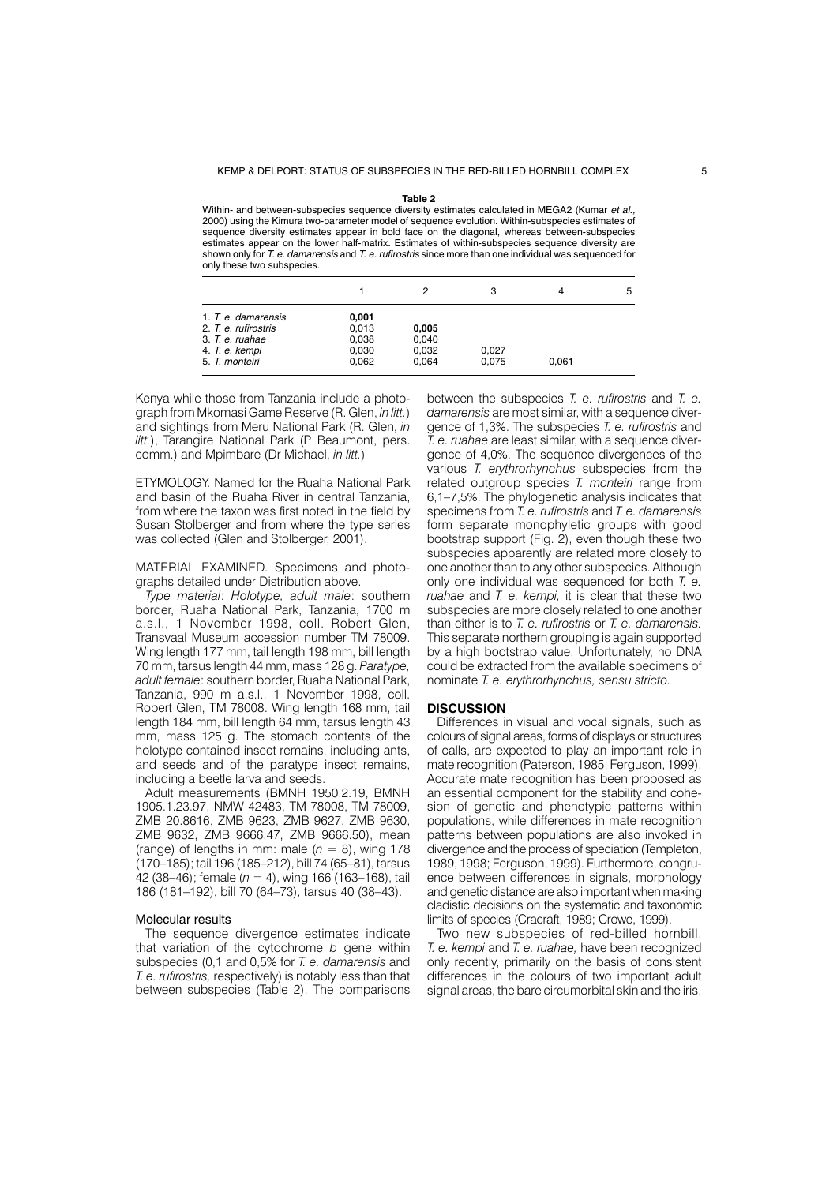#### **Table 2**

Within- and between-subspecies sequence diversity estimates calculated in MEGA2 (Kumar et al., 2000) using the Kimura two-parameter model of sequence evolution. Within-subspecies estimates of sequence diversity estimates appear in bold face on the diagonal, whereas between-subspecies estimates appear on the lower half-matrix. Estimates of within-subspecies sequence diversity are shown only for T. e. damarensis and T. e. rufirostris since more than one individual was sequenced for only these two subspecies.

|                      |       |       | з     | 4     | 5 |
|----------------------|-------|-------|-------|-------|---|
| 1. T. e. damarensis  | 0,001 |       |       |       |   |
| 2. T. e. rufirostris | 0.013 | 0,005 |       |       |   |
| 3. T. e. ruahae      | 0,038 | 0.040 |       |       |   |
| 4. T. e. kempi       | 0,030 | 0.032 | 0,027 |       |   |
| 5. T. monteiri       | 0,062 | 0,064 | 0,075 | 0,061 |   |

Kenya while those from Tanzania include a photograph from Mkomasi Game Reserve (R. Glen, *in litt.*) and sightings from Meru National Park (R. Glen, *in litt.*), Tarangire National Park (P. Beaumont, pers. comm.) and Mpimbare (Dr Michael, *in litt.*)

ETYMOLOGY. Named for the Ruaha National Park and basin of the Ruaha River in central Tanzania, from where the taxon was first noted in the field by Susan Stolberger and from where the type series was collected (Glen and Stolberger, 2001).

MATERIAL EXAMINED. Specimens and photographs detailed under Distribution above.

*Type material*: *Holotype, adult male*: southern border, Ruaha National Park, Tanzania, 1700 m a.s.l., 1 November 1998, coll. Robert Glen, Transvaal Museum accession number TM 78009. Wing length 177 mm, tail length 198 mm, bill length 70 mm, tarsus length 44 mm, mass 128 g. *Paratype, adult female*: southern border, Ruaha National Park, Tanzania, 990 m a.s.l., 1 November 1998, coll. Robert Glen, TM 78008. Wing length 168 mm, tail length 184 mm, bill length 64 mm, tarsus length 43 mm, mass 125 g. The stomach contents of the holotype contained insect remains, including ants, and seeds and of the paratype insect remains, including a beetle larva and seeds.

Adult measurements (BMNH 1950.2.19, BMNH 1905.1.23.97, NMW 42483, TM 78008, TM 78009, ZMB 20.8616, ZMB 9623, ZMB 9627, ZMB 9630, ZMB 9632, ZMB 9666.47, ZMB 9666.50), mean (range) of lengths in mm: male  $(n = 8)$ , wing 178 (170–185); tail 196 (185–212), bill 74 (65–81), tarsus 42 (38–46); female (*n* = 4), wing 166 (163–168), tail 186 (181–192), bill 70 (64–73), tarsus 40 (38–43).

### Molecular results

The sequence divergence estimates indicate that variation of the cytochrome *b* gene within subspecies (0,1 and 0,5% for *T. e. damarensis* and *T. e. rufirostris,* respectively) is notably less than that between subspecies (Table 2). The comparisons

between the subspecies *T. e. rufirostris* and *T. e. damarensis* are most similar, with a sequence divergence of 1,3%. The subspecies *T. e. rufirostris* and *T. e. ruahae* are least similar, with a sequence divergence of 4,0%. The sequence divergences of the various *T. erythrorhynchus* subspecies from the related outgroup species *T. monteiri* range from 6,1–7,5%. The phylogenetic analysis indicates that specimens from *T. e. rufirostris* and *T. e. damarensis* form separate monophyletic groups with good bootstrap support (Fig. 2), even though these two subspecies apparently are related more closely to one another than to any other subspecies. Although only one individual was sequenced for both *T. e. ruahae* and *T. e. kempi,* it is clear that these two subspecies are more closely related to one another than either is to *T. e. rufirostris* or *T. e. damarensis.* This separate northern grouping is again supported by a high bootstrap value. Unfortunately, no DNA could be extracted from the available specimens of nominate *T. e. erythrorhynchus, sensu stricto.*

### **DISCUSSION**

Differences in visual and vocal signals, such as colours of signal areas, forms of displays or structures of calls, are expected to play an important role in mate recognition (Paterson, 1985; Ferguson, 1999). Accurate mate recognition has been proposed as an essential component for the stability and cohesion of genetic and phenotypic patterns within populations, while differences in mate recognition patterns between populations are also invoked in divergence and the process of speciation (Templeton, 1989, 1998; Ferguson, 1999). Furthermore, congruence between differences in signals, morphology and genetic distance are also important when making cladistic decisions on the systematic and taxonomic limits of species (Cracraft, 1989; Crowe, 1999).

Two new subspecies of red-billed hornbill, *T. e. kempi* and *T. e. ruahae,* have been recognized only recently, primarily on the basis of consistent differences in the colours of two important adult signal areas, the bare circumorbital skin and the iris.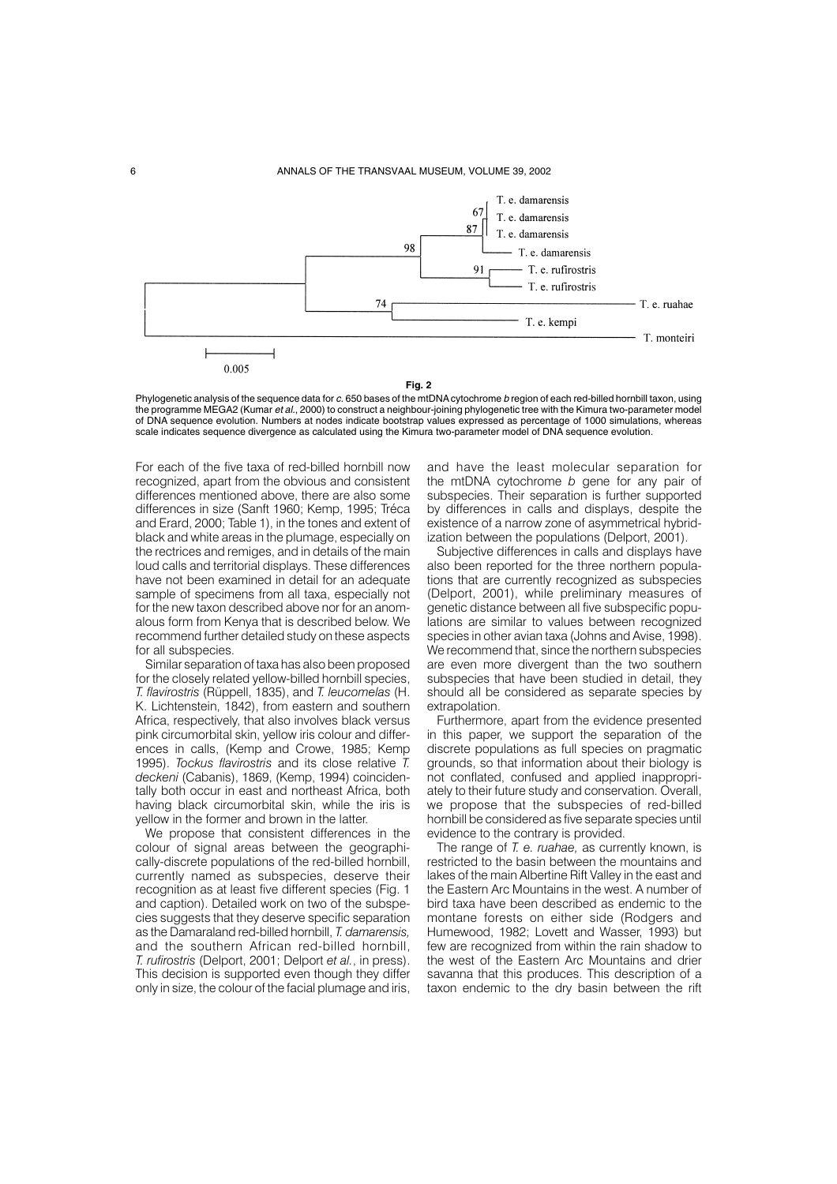

Phylogenetic analysis of the sequence data for c. 650 bases of the mtDNA cytochrome b region of each red-billed hornbill taxon, using the programme MEGA2 (Kumar et al., 2000) to construct a neighbour-joining phylogenetic tree with the Kimura two-parameter model of DNA sequence evolution. Numbers at nodes indicate bootstrap values expressed as percentage of 1000 simulations, whereas scale indicates sequence divergence as calculated using the Kimura two-parameter model of DNA sequence evolution.

For each of the five taxa of red-billed hornbill now recognized, apart from the obvious and consistent differences mentioned above, there are also some differences in size (Sanft 1960; Kemp, 1995; Tréca and Erard, 2000; Table 1), in the tones and extent of black and white areas in the plumage, especially on the rectrices and remiges, and in details of the main loud calls and territorial displays. These differences have not been examined in detail for an adequate sample of specimens from all taxa, especially not for the new taxon described above nor for an anomalous form from Kenya that is described below. We recommend further detailed study on these aspects for all subspecies.

Similar separation of taxa has also been proposed for the closely related yellow-billed hornbill species, *T. flavirostris* (Rüppell, 1835), and *T. leucomelas* (H. K. Lichtenstein, 1842), from eastern and southern Africa, respectively, that also involves black versus pink circumorbital skin, yellow iris colour and differences in calls, (Kemp and Crowe, 1985; Kemp 1995). *Tockus flavirostris* and its close relative *T. deckeni* (Cabanis), 1869, (Kemp, 1994) coincidentally both occur in east and northeast Africa, both having black circumorbital skin, while the iris is yellow in the former and brown in the latter.

We propose that consistent differences in the colour of signal areas between the geographically-discrete populations of the red-billed hornbill, currently named as subspecies, deserve their recognition as at least five different species (Fig. 1 and caption). Detailed work on two of the subspecies suggests that they deserve specific separation as the Damaraland red-billed hornbill, *T. damarensis,* and the southern African red-billed hornbill, *T. rufirostris* (Delport, 2001; Delport *et al.*, in press). This decision is supported even though they differ only in size, the colour of the facial plumage and iris,

and have the least molecular separation for the mtDNA cytochrome *b* gene for any pair of subspecies. Their separation is further supported by differences in calls and displays, despite the existence of a narrow zone of asymmetrical hybridization between the populations (Delport, 2001).

Subjective differences in calls and displays have also been reported for the three northern populations that are currently recognized as subspecies (Delport, 2001), while preliminary measures of genetic distance between all five subspecific populations are similar to values between recognized species in other avian taxa (Johns and Avise, 1998). We recommend that, since the northern subspecies are even more divergent than the two southern subspecies that have been studied in detail, they should all be considered as separate species by extrapolation.

Furthermore, apart from the evidence presented in this paper, we support the separation of the discrete populations as full species on pragmatic grounds, so that information about their biology is not conflated, confused and applied inappropriately to their future study and conservation. Overall, we propose that the subspecies of red-billed hornbill be considered as five separate species until evidence to the contrary is provided.

The range of *T. e. ruahae,* as currently known, is restricted to the basin between the mountains and lakes of the main Albertine Rift Valley in the east and the Eastern Arc Mountains in the west. A number of bird taxa have been described as endemic to the montane forests on either side (Rodgers and Humewood, 1982; Lovett and Wasser, 1993) but few are recognized from within the rain shadow to the west of the Eastern Arc Mountains and drier savanna that this produces. This description of a taxon endemic to the dry basin between the rift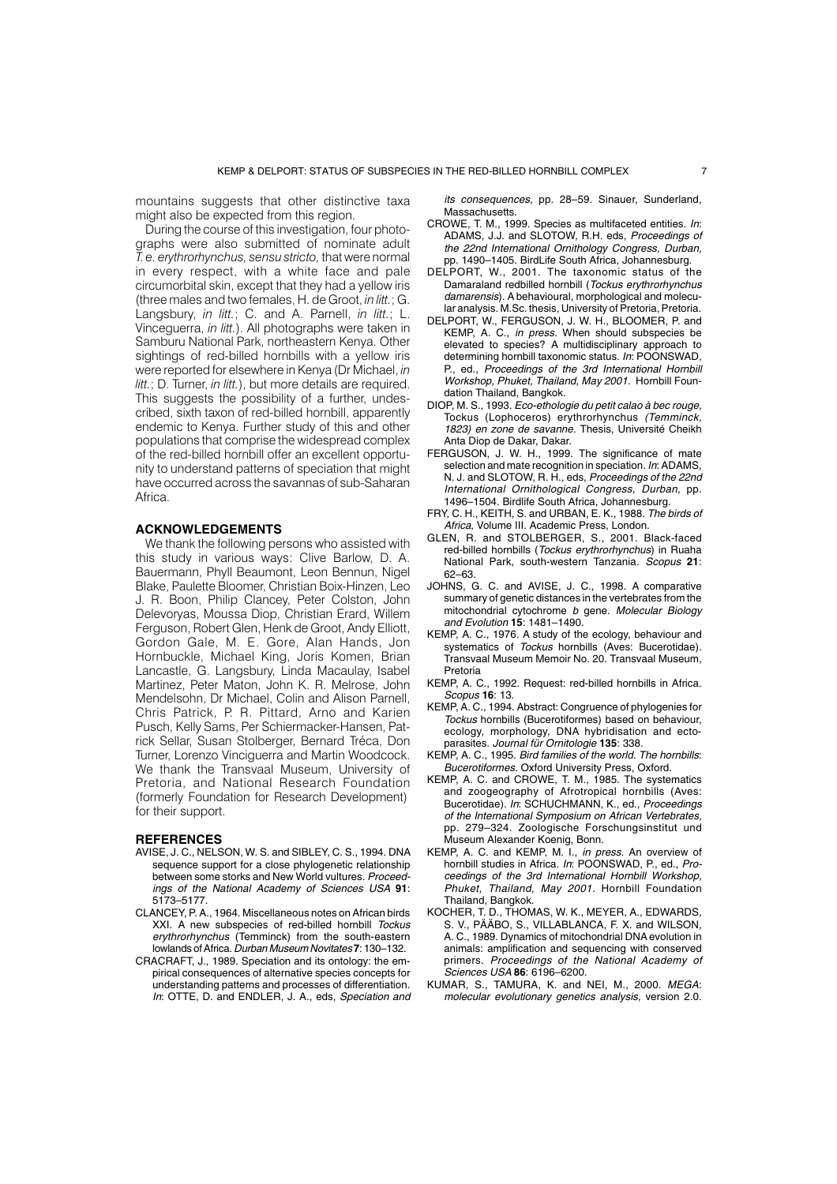mountains suggests that other distinctive taxa might also be expected from this region.

During the course of this investigation, four photographs were also submitted of nominate adult *T. e. erythrorhynchus, sensu stricto,* that were normal in every respect, with a white face and pale circumorbital skin, except that they had a yellow iris (three males and two females, H. de Groot, *in litt.*; G. Langsbury, *in litt.*; C. and A. Parnell, *in litt.*; L. Vinceguerra, *in litt.*). All photographs were taken in Samburu National Park, northeastern Kenya. Other sightings of red-billed hornbills with a yellow iris were reported for elsewhere in Kenya (Dr Michael, *in litt.*; D. Turner, *in litt.*), but more details are required. This suggests the possibility of a further, undescribed, sixth taxon of red-billed hornbill, apparently endemic to Kenya. Further study of this and other populations that comprise the widespread complex of the red-billed hornbill offer an excellent opportunity to understand patterns of speciation that might have occurred across the savannas of sub-Saharan Africa.

### **ACKNOWLEDGEMENTS**

We thank the following persons who assisted with this study in various ways: Clive Barlow, D. A. Bauermann, Phyll Beaumont, Leon Bennun, Nigel Blake, Paulette Bloomer, Christian Boix-Hinzen, Leo J. R. Boon, Philip Clancey, Peter Colston, John Delevoryas, Moussa Diop, Christian Erard, Willem Ferguson, Robert Glen, Henk de Groot, Andy Elliott, Gordon Gale, M. E. Gore, Alan Hands, Jon Hornbuckle, Michael King, Joris Komen, Brian Lancastle, G. Langsbury, Linda Macaulay, Isabel Martinez, Peter Maton, John K. R. Melrose, John Mendelsohn, Dr Michael, Colin and Alison Parnell, Chris Patrick, P. R. Pittard, Arno and Karien Pusch, Kelly Sams, Per Schiermacker-Hansen, Patrick Sellar, Susan Stolberger, Bernard Tréca, Don Turner, Lorenzo Vinciguerra and Martin Woodcock. We thank the Transvaal Museum, University of Pretoria, and National Research Foundation (formerly Foundation for Research Development) for their support.

### **REFERENCES**

- AVISE, J. C., NELSON, W. S. and SIBLEY, C. S., 1994. DNA sequence support for a close phylogenetic relationship between some storks and New World vultures. Proceedings of the National Academy of Sciences USA **91**: 5173–5177.
- CLANCEY, P. A., 1964. Miscellaneous notes on African birds XXI. A new subspecies of red-billed hornbill Tockus erythrorhynchus (Temminck) from the south-eastern lowlands of Africa. Durban Museum Novitates **7**: 130–132.
- CRACRAFT, J., 1989. Speciation and its ontology: the empirical consequences of alternative species concepts for understanding patterns and processes of differentiation. In: OTTE, D. and ENDLER, J. A., eds, Speciation and

its consequences, pp. 28–59. Sinauer, Sunderland, Massachusetts.

- CROWE, T. M., 1999. Species as multifaceted entities. In: ADAMS, J.J. and SLOTOW, R.H. eds, Proceedings of the 22nd International Ornithology Congress, Durban, pp. 1490–1405. BirdLife South Africa, Johannesburg.
- DELPORT, W., 2001. The taxonomic status of the Damaraland redbilled hornbill (Tockus erythrorhynchus damarensis). A behavioural, morphological and molecular analysis. M.Sc. thesis, University of Pretoria, Pretoria.
- DELPORT, W., FERGUSON, J. W. H., BLOOMER, P. and KEMP, A. C., in press. When should subspecies be elevated to species? A multidisciplinary approach to determining hornbill taxonomic status. In: POONSWAD, P., ed., Proceedings of the 3rd International Hornbill Workshop, Phuket, Thailand, May 2001. Hornbill Foundation Thailand, Bangkok.
- DIOP, M. S., 1993. Eco-ethologie du petit calao à bec rouge, Tockus (Lophoceros) erythrorhynchus (Temminck, 1823) en zone de savanne. Thesis, Université Cheikh Anta Diop de Dakar, Dakar.
- FERGUSON, J. W. H., 1999. The significance of mate selection and mate recognition in speciation. In: ADAMS, N. J. and SLOTOW, R. H., eds, Proceedings of the 22nd International Ornithological Congress, Durban, pp. 1496–1504. Birdlife South Africa, Johannesburg.
- FRY, C. H., KEITH, S. and URBAN, E. K., 1988. The birds of Africa, Volume III. Academic Press, London.
- GLEN, R. and STOLBERGER, S., 2001. Black-faced red-billed hornbills (Tockus erythrorhynchus) in Ruaha National Park, south-western Tanzania. Scopus **21**: 62–63.
- JOHNS, G. C. and AVISE, J. C., 1998. A comparative summary of genetic distances in the vertebrates from the mitochondrial cytochrome b gene. Molecular Biology and Evolution **15**: 1481–1490.
- KEMP, A. C., 1976. A study of the ecology, behaviour and systematics of Tockus hornbills (Aves: Bucerotidae). Transvaal Museum Memoir No. 20. Transvaal Museum, Pretoria
- KEMP, A. C., 1992. Request: red-billed hornbills in Africa. Scopus **16**: 13.
- KEMP, A. C., 1994. Abstract: Congruence of phylogenies for Tockus hornbills (Bucerotiformes) based on behaviour, ecology, morphology, DNA hybridisation and ectoparasites. Journal für Ornitologie **135**: 338.
- KEMP, A. C., 1995. Bird families of the world. The hornbills: Bucerotiformes. Oxford University Press, Oxford.
- KEMP, A. C. and CROWE, T. M., 1985. The systematics and zoogeography of Afrotropical hornbills (Aves: Bucerotidae). In: SCHUCHMANN, K., ed., Proceedings of the International Symposium on African Vertebrates, pp. 279–324. Zoologische Forschungsinstitut und Museum Alexander Koenig, Bonn.
- KEMP, A. C. and KEMP, M. I., in press. An overview of hornbill studies in Africa. In: POONSWAD, P., ed., Proceedings of the 3rd International Hornbill Workshop, Phuket, Thailand, May 2001. Hornbill Foundation Thailand, Bangkok.
- KOCHER, T. D., THOMAS, W. K., MEYER, A., EDWARDS, S. V., PÄÄBO, S., VILLABLANCA, F. X. and WILSON, A. C., 1989. Dynamics of mitochondrial DNA evolution in animals: amplification and sequencing with conserved primers. Proceedings of the National Academy of Sciences USA **86**: 6196–6200.
- KUMAR, S., TAMURA, K. and NEI, M., 2000. MEGA: molecular evolutionary genetics analysis, version 2.0.